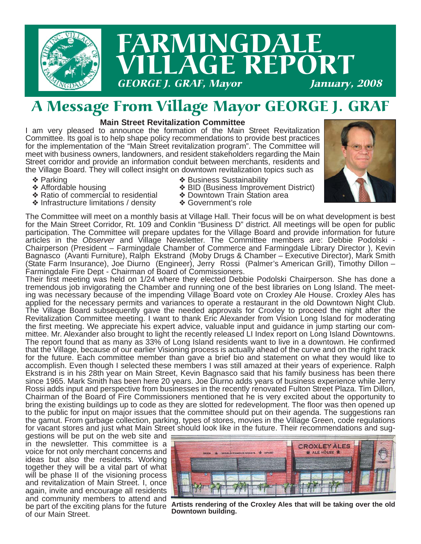

## A Message From Village Mayor GEORGE J. GRAF

#### **Main Street Revitalization Committee**

I am very pleased to announce the formation of the Main Street Revitalization Committee. Its goal is to help shape policy recommendations to provide best practices for the implementation of the "Main Street revitalization program". The Committee will meet with business owners, landowners, and resident stakeholders regarding the Main Street corridor and provide an information conduit between merchants, residents and the Village Board. They will collect insight on downtown revitalization topics such as

- ❖ Parking
- ❖ Affordable housing
- ❖ Ratio of commercial to residential
- ❖ Infrastructure limitations / density
- ❖ Business Sustainability
- ❖ BID (Business Improvement District)
- ❖ Downtown Train Station area ❖ Government's role



The Committee will meet on a monthly basis at Village Hall. Their focus will be on what development is best for the Main Street Corridor, Rt. 109 and Conklin "Business D" district. All meetings will be open for public participation. The Committee will prepare updates for the Village Board and provide information for future articles in the *Observer* and Village Newsletter. The Committee members are: Debbie Podolski - Chairperson (President – Farmingdale Chamber of Commerce and Farmingdale Library Director ), Kevin Bagnasco (Avanti Furniture), Ralph Ekstrand (Moby Drugs & Chamber – Executive Director), Mark Smith (State Farm Insurance), Joe Diurno (Engineer), Jerry Rossi (Palmer's American Grill), Timothy Dillon – Farmingdale Fire Dept - Chairman of Board of Commissioners.

Their first meeting was held on 1/24 where they elected Debbie Podolski Chairperson. She has done a tremendous job invigorating the Chamber and running one of the best libraries on Long Island. The meeting was necessary because of the impending Village Board vote on Croxley Ale House. Croxley Ales has applied for the necessary permits and variances to operate a restaurant in the old Downtown Night Club. The Village Board subsequently gave the needed approvals for Croxley to proceed the night after the Revitalization Committee meeting. I want to thank Eric Alexander from Vision Long Island for moderating the first meeting. We appreciate his expert advice, valuable input and guidance in jump starting our committee. Mr. Alexander also brought to light the recently released LI Index report on Long Island Downtowns. The report found that as many as 33% of Long Island residents want to live in a downtown. He confirmed that the Village, because of our earlier Visioning process is actually ahead of the curve and on the right track for the future. Each committee member than gave a brief bio and statement on what they would like to accomplish. Even though I selected these members I was still amazed at their years of experience. Ralph Ekstrand is in his 28th year on Main Street, Kevin Bagnasco said that his family business has been there since 1965. Mark Smith has been here 20 years. Joe Diurno adds years of business experience while Jerry Rossi adds input and perspective from businesses in the recently renovated Fulton Street Plaza. Tim Dillon, Chairman of the Board of Fire Commissioners mentioned that he is very excited about the opportunity to bring the existing buildings up to code as they are slotted for redevelopment. The floor was then opened up to the public for input on major issues that the committee should put on their agenda. The suggestions ran the gamut. From garbage collection, parking, types of stores, movies in the Village Green, code regulations for vacant stores and just what Main Street should look like in the future. Their recommendations and sug-

gestions will be put on the web site and in the newsletter. This committee is a voice for not only merchant concerns and ideas but also the residents. Working together they will be a vital part of what will be phase II of the visioning process and revitalization of Main Street. I, once again, invite and encourage all residents and community members to attend and be part of the exciting plans for the future of our Main Street.



**Artists rendering of the Croxley Ales that will be taking over the old Downtown building.**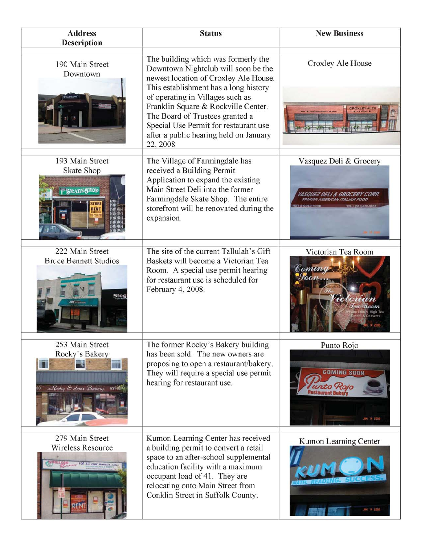| <b>Address</b><br><b>Description</b>                             | <b>Status</b>                                                                                                                                                                                                                                                                                                                                                             | <b>New Business</b>                             |
|------------------------------------------------------------------|---------------------------------------------------------------------------------------------------------------------------------------------------------------------------------------------------------------------------------------------------------------------------------------------------------------------------------------------------------------------------|-------------------------------------------------|
| 190 Main Street<br>Downtown                                      | The building which was formerly the<br>Downtown Nightclub will soon be the<br>newest location of Croxley Ale House.<br>This establishment has a long history<br>of operating in Villages such as<br>Franklin Square & Rockville Center.<br>The Board of Trustees granted a<br>Special Use Permit for restaurant use<br>after a public hearing held on January<br>22, 2008 | Croxley Ale House                               |
| 193 Main Street<br>Skate Shop<br><b>SRAGESHOP</b>                | The Village of Farmingdale has<br>received a Building Permit<br>Application to expand the existing<br>Main Street Deli into the former<br>Farmingdale Skate Shop. The entire<br>storefront will be renovated during the<br>expansion.                                                                                                                                     | Vasquez Deli & Grocery                          |
| 222 Main Street<br><b>Bruce Bennett Studios</b><br>Stog          | The site of the current Tallulah's Gift<br>Baskets will become a Victorian Tea<br>Room. A special use permit hearing<br>for restaurant use is scheduled for<br>February 4, 2008.                                                                                                                                                                                          | Victorian Tea Room<br>Coming                    |
| 253 Main Street<br>Rocky's Bakery<br>Rocky & Sons Bakery         | The former Rocky's Bakery building<br>has been sold. The new owners are<br>proposing to open a restaurant/bakery.<br>They will require a special use permit<br>hearing for restaurant use.                                                                                                                                                                                | Punto Rojo<br><b>COMING SOON</b><br>SBN 14 2008 |
| 279 Main Street<br>Wireless Resource<br>FOR ALL YOUR WINCLESS NA | Kumon Learning Center has received<br>a building permit to convert a retail<br>space to an after-school supplemental<br>education facility with a maximum<br>occupant load of 41. They are<br>relocating onto Main Street from<br>Conklin Street in Suffolk County.                                                                                                       | Kumon Learning Center<br><b>CH 14 2008</b>      |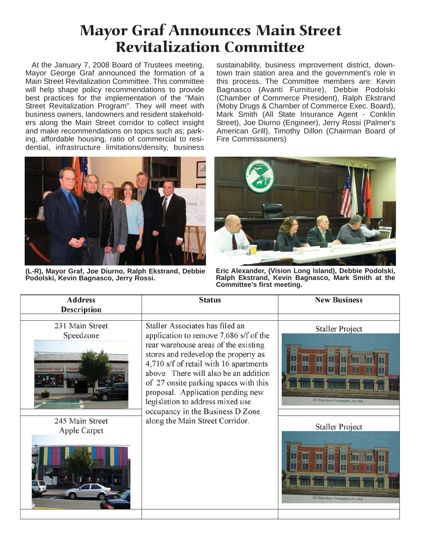## Mayor Graf Announces Main Street Revitalization Committee

At the January 7, 2008 Board of Trustees meeting, Mayor George Graf announced the formation of a Main Street Revitalization Committee. This committee will help shape policy recommendations to provide best practices for the implementation of the "Main Street Revitalization Program". They will meet with business owners, landowners and resident stakeholders along the Main Street corridor to collect insight and make recommendations on topics such as; parking, affordable housing, ratio of commercial to residential, infrastructure limitations/density, business

sustainability, business improvement district, downtown train station area and the government's role in this process. The Committee members are: Kevin Bagnasco (Avanti Furniture), Debbie Podolski (Chamber of Commerce President), Ralph Ekstrand (Moby Drugs & Chamber of Commerce Exec. Board), Mark Smith (All State Insurance Agent - Conklin Street), Joe Diurno (Engineer), Jerry Rossi (Palmer's American Grill), Timothy Dillon (Chairman Board of Fire Commissioners)



**(L-R), Mayor Graf, Joe Diurno, Ralph Ekstrand, Debbie Podolski, Kevin Bagnasco, Jerry Rossi.**



**Eric Alexander, (Vision Long Island), Debbie Podolski, Ralph Ekstrand, Kevin Bagnasco, Mark Smith at the Committee's first meeting.**

| <b>Address</b><br><b>Description</b>                            | <b>Status</b>                                                                                                                                                                                                                                                                                                                                                                                                                         | <b>New Business</b>                                                                                                              |
|-----------------------------------------------------------------|---------------------------------------------------------------------------------------------------------------------------------------------------------------------------------------------------------------------------------------------------------------------------------------------------------------------------------------------------------------------------------------------------------------------------------------|----------------------------------------------------------------------------------------------------------------------------------|
| 231 Main Street<br>Speedzone<br>245 Main Street<br>Apple Carpet | Staller Associates has filed an<br>application to remove 7,686 s/f of the<br>rear warehouse areas of the existing<br>stores and redevelop the property as<br>4,710 s/f of retail with 16 apartments<br>above. There will also be an addition<br>of 27 onsite parking spaces with this<br>proposal. Application pending new<br>legislation to address mixed use<br>occupancy in the Business D Zone<br>along the Main Street Corridor. | <b>Staller Project</b><br>231 Main Street Farmingdale New York<br><b>Staller Project</b><br>231 Main Street Farmingdale New York |
|                                                                 |                                                                                                                                                                                                                                                                                                                                                                                                                                       |                                                                                                                                  |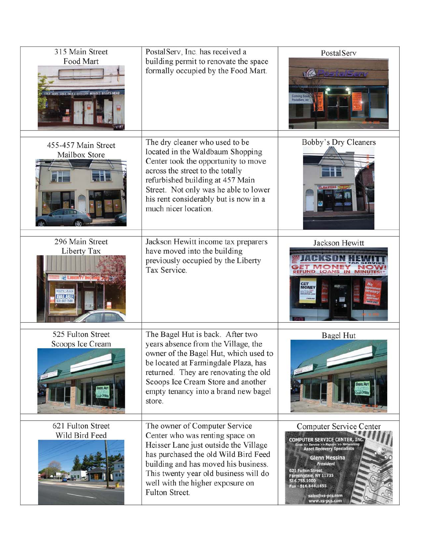| 315 Main Street<br>Food Mart                       | PostalServ, Inc. has received a<br>building permit to renovate the space<br>formally occupied by the Food Mart.                                                                                                                                                                             | PostalServ<br>$\sqrt{\alpha}$<br>s kalendar                                                                                                                                                                                                                                                                 |
|----------------------------------------------------|---------------------------------------------------------------------------------------------------------------------------------------------------------------------------------------------------------------------------------------------------------------------------------------------|-------------------------------------------------------------------------------------------------------------------------------------------------------------------------------------------------------------------------------------------------------------------------------------------------------------|
| 455-457 Main Street<br>Mailbox Store               | The dry cleaner who used to be<br>located in the Waldbaum Shopping<br>Center took the opportunity to move<br>across the street to the totally<br>refurbished building at 457 Main<br>Street. Not only was he able to lower<br>his rent considerably but is now in a<br>much nicer location. | Bobby's Dry Cleaners                                                                                                                                                                                                                                                                                        |
| 296 Main Street<br>Liberty Tax<br><b>X LIBERTY</b> | Jackson Hewitt income tax preparers<br>have moved into the building<br>previously occupied by the Liberty<br>Tax Service.                                                                                                                                                                   | Jackson Hewitt<br><b>LOANS IN MIN</b><br><b>MONE</b>                                                                                                                                                                                                                                                        |
| 525 Fulton Street<br>Scoops Ice Cream              | The Bagel Hut is back. After two<br>years absence from the Village, the<br>owner of the Bagel Hut, which used to<br>be located at Farmingdale Plaza, has<br>returned. They are renovating the old<br>Scoops Ice Cream Store and another<br>empty tenancy into a brand new bagel<br>store.   | <b>Bagel Hut</b>                                                                                                                                                                                                                                                                                            |
| 621 Fulton Street<br>Wild Bird Feed                | The owner of Computer Service<br>Center who was renting space on<br>Heisser Lane just outside the Village<br>has purchased the old Wild Bird Feed<br>building and has moved his business.<br>This twenty year old business will do<br>well with the higher exposure on<br>Fulton Street.    | Computer Service Center<br><b>DMPUTER SERVICE CENTER, II</b><br>les >> Service >> Repairs >> Networking<br>Asset Recovery Specialists<br>Glenn Messina<br><b>President</b><br><b>621 Fulton Street</b><br>Farmingdale, NY 11735<br>516.755.1000<br>Fax - 516.844.1655<br>sales@xs-pcs.com<br>www.xs-pcs.com |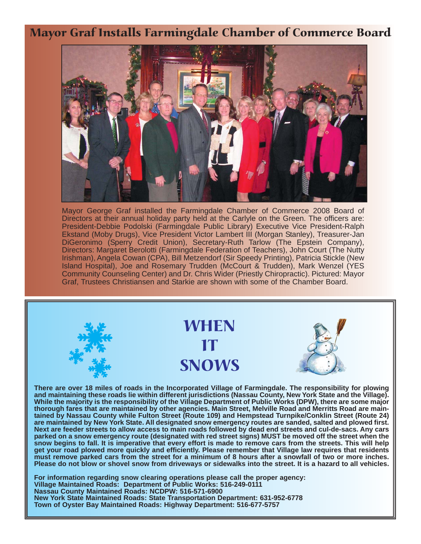Mayor Graf Installs Farmingdale Chamber of Commerce Board



Mayor George Graf installed the Farmingdale Chamber of Commerce 2008 Board of Directors at their annual holiday party held at the Carlyle on the Green. The officers are: President-Debbie Podolski (Farmingdale Public Library) Executive Vice President-Ralph Ekstand (Moby Drugs), Vice President Victor Lambert III (Morgan Stanley), Treasurer-Jan DiGeronimo (Sperry Credit Union), Secretary-Ruth Tarlow (The Epstein Company), Directors: Margaret Berolotti (Farmingdale Federation of Teachers), John Court (The Nutty Irishman), Angela Cowan (CPA), Bill Metzendorf (Sir Speedy Printing), Patricia Stickle (New Island Hospital), Joe and Rosemary Trudden (McCourt & Trudden), Mark Wenzel (YES Community Counseling Center) and Dr. Chris Wider (Priestly Chiropractic). Pictured: Mayor Graf, Trustees Christiansen and Starkie are shown with some of the Chamber Board.



**While the majority is the responsibility of the Village Department of Public Works (DPW), there are some major thorough fares that are maintained by other agencies. Main Street, Melville Road and Merritts Road are maintained by Nassau County while Fulton Street (Route 109) and Hempstead Turnpike/Conklin Street (Route 24) are maintained by New York State. All designated snow emergency routes are sanded, salted and plowed first. Next are feeder streets to allow access to main roads followed by dead end streets and cul-de-sacs. Any cars parked on a snow emergency route (designated with red street signs) MUST be moved off the street when the snow begins to fall. It is imperative that every effort is made to remove cars from the streets. This will help** get your road plowed more quickly and efficiently. Please remember that Village law requires that residents **must remove parked cars from the street for a minimum of 8 hours after a snowfall of two or more inches. Please do not blow or shovel snow from driveways or sidewalks into the street. It is a hazard to all vehicles.** 

**For information regarding snow clearing operations please call the proper agency: Village Maintained Roads: Department of Public Works: 516-249-0111 Nassau County Maintained Roads: NCDPW: 516-571-6900 New York State Maintained Roads: State Transportation Department: 631-952-6778 Town of Oyster Bay Maintained Roads: Highway Department: 516-677-5757**